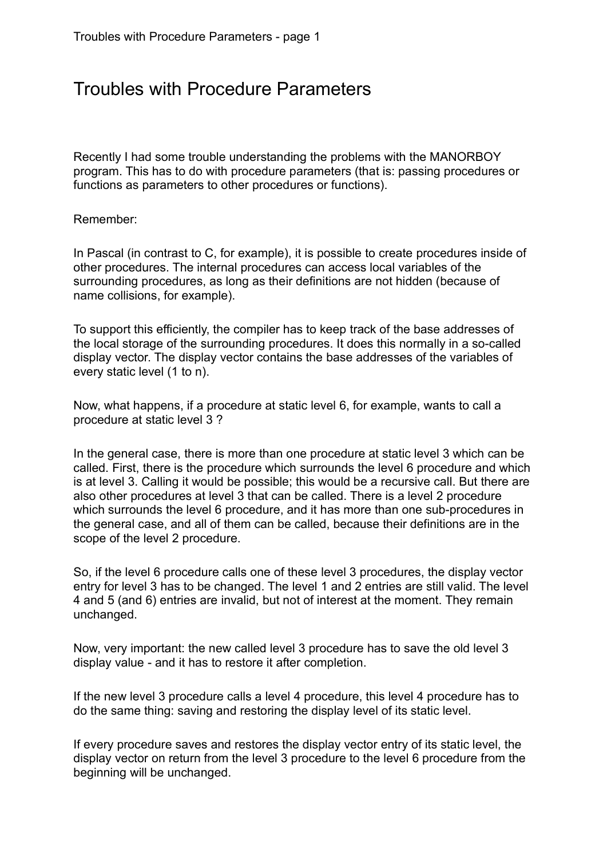## Troubles with Procedure Parameters

Recently I had some trouble understanding the problems with the MANORBOY program. This has to do with procedure parameters (that is: passing procedures or functions as parameters to other procedures or functions).

## Remember:

In Pascal (in contrast to C, for example), it is possible to create procedures inside of other procedures. The internal procedures can access local variables of the surrounding procedures, as long as their definitions are not hidden (because of name collisions, for example).

To support this efficiently, the compiler has to keep track of the base addresses of the local storage of the surrounding procedures. It does this normally in a so-called display vector. The display vector contains the base addresses of the variables of every static level (1 to n).

Now, what happens, if a procedure at static level 6, for example, wants to call a procedure at static level 3 ?

In the general case, there is more than one procedure at static level 3 which can be called. First, there is the procedure which surrounds the level 6 procedure and which is at level 3. Calling it would be possible; this would be a recursive call. But there are also other procedures at level 3 that can be called. There is a level 2 procedure which surrounds the level 6 procedure, and it has more than one sub-procedures in the general case, and all of them can be called, because their definitions are in the scope of the level 2 procedure.

So, if the level 6 procedure calls one of these level 3 procedures, the display vector entry for level 3 has to be changed. The level 1 and 2 entries are still valid. The level 4 and 5 (and 6) entries are invalid, but not of interest at the moment. They remain unchanged.

Now, very important: the new called level 3 procedure has to save the old level 3 display value - and it has to restore it after completion.

If the new level 3 procedure calls a level 4 procedure, this level 4 procedure has to do the same thing: saving and restoring the display level of its static level.

If every procedure saves and restores the display vector entry of its static level, the display vector on return from the level 3 procedure to the level 6 procedure from the beginning will be unchanged.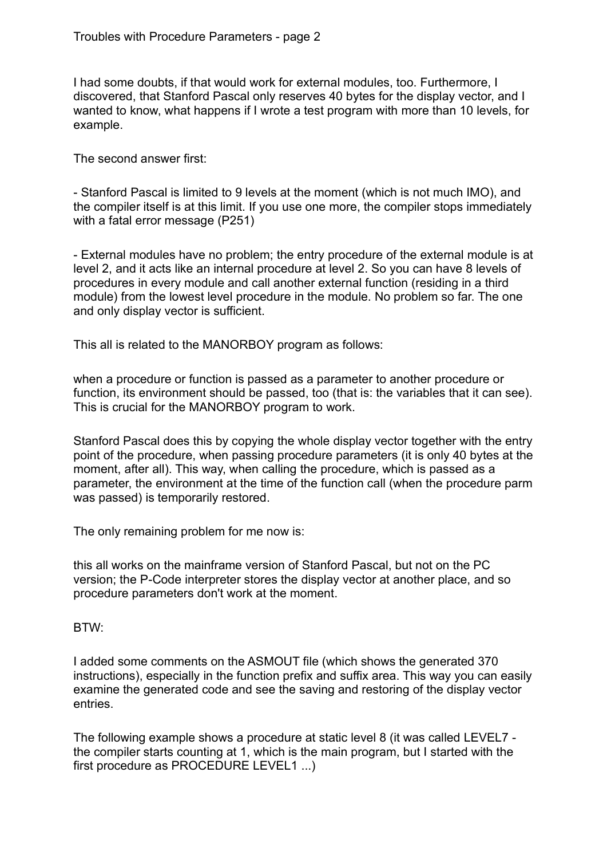I had some doubts, if that would work for external modules, too. Furthermore, I discovered, that Stanford Pascal only reserves 40 bytes for the display vector, and I wanted to know, what happens if I wrote a test program with more than 10 levels, for example.

The second answer first:

- Stanford Pascal is limited to 9 levels at the moment (which is not much IMO), and the compiler itself is at this limit. If you use one more, the compiler stops immediately with a fatal error message (P251)

- External modules have no problem; the entry procedure of the external module is at level 2, and it acts like an internal procedure at level 2. So you can have 8 levels of procedures in every module and call another external function (residing in a third module) from the lowest level procedure in the module. No problem so far. The one and only display vector is sufficient.

This all is related to the MANORBOY program as follows:

when a procedure or function is passed as a parameter to another procedure or function, its environment should be passed, too (that is: the variables that it can see). This is crucial for the MANORBOY program to work.

Stanford Pascal does this by copying the whole display vector together with the entry point of the procedure, when passing procedure parameters (it is only 40 bytes at the moment, after all). This way, when calling the procedure, which is passed as a parameter, the environment at the time of the function call (when the procedure parm was passed) is temporarily restored.

The only remaining problem for me now is:

this all works on the mainframe version of Stanford Pascal, but not on the PC version; the P-Code interpreter stores the display vector at another place, and so procedure parameters don't work at the moment.

## BTW:

I added some comments on the ASMOUT file (which shows the generated 370 instructions), especially in the function prefix and suffix area. This way you can easily examine the generated code and see the saving and restoring of the display vector entries.

The following example shows a procedure at static level 8 (it was called LEVEL7 the compiler starts counting at 1, which is the main program, but I started with the first procedure as PROCEDURE LEVEL1 ...)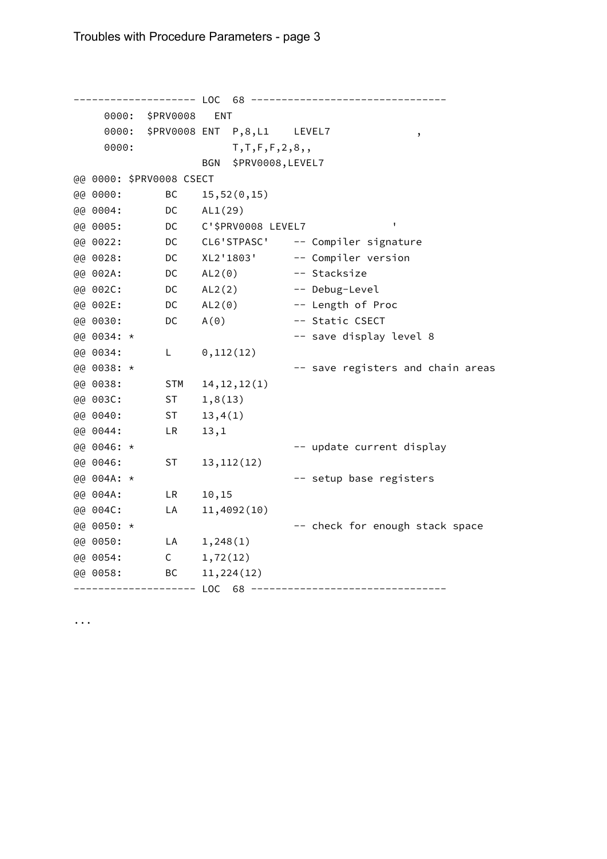-------------------- LOC 68 -------------------------------- 0000: \$PRV0008 ENT 0000: \$PRV0008 ENT P,8,L1 LEVEL7 , 0000: T,T,F,F,2,8,, BGN \$PRV0008,LEVEL7 @@ 0000: \$PRV0008 CSECT @@ 0000: BC 15,52(0,15) @@ 0004: DC AL1(29) @@ 0005: DC C'\$PRV0008 LEVEL7 ' @@ 0022: DC CL6'STPASC' -- Compiler signature @@ 0028: DC XL2'1803' -- Compiler version @@ 002A: DC AL2(0) -- Stacksize @@ 002C: DC AL2(2) -- Debug-Level @@ 002E: DC AL2(0) -- Length of Proc @@ 0030: DC A(0) -- Static CSECT @@ 0034: \* -- save display level 8 @@ 0034: L 0,112(12) @@ 0038: \* -- save registers and chain areas @@ 0038: STM 14,12,12(1) @@ 003C: ST 1,8(13) @@ 0040: ST 13,4(1) @@ 0044: LR 13,1 @@ 0046: \* --- vpdate current display @@ 0046: ST 13,112(12) @@ 004A: \* -- setup base registers @@ 004A: LR 10,15<br>@@ 004C: LA 11,4092(1<br>@@ 005C: LA 11,4092(10) @@ 0050: \* \* \* \* \* \* \* \* \* \* \* \* \* \* + \* check for enough stack space @@ 0050: LA 1,248(1) @@ 0054: C 1,72(12) @@ 0058: BC 11,224(12) -------------------- LOC 68 --------------------------------

...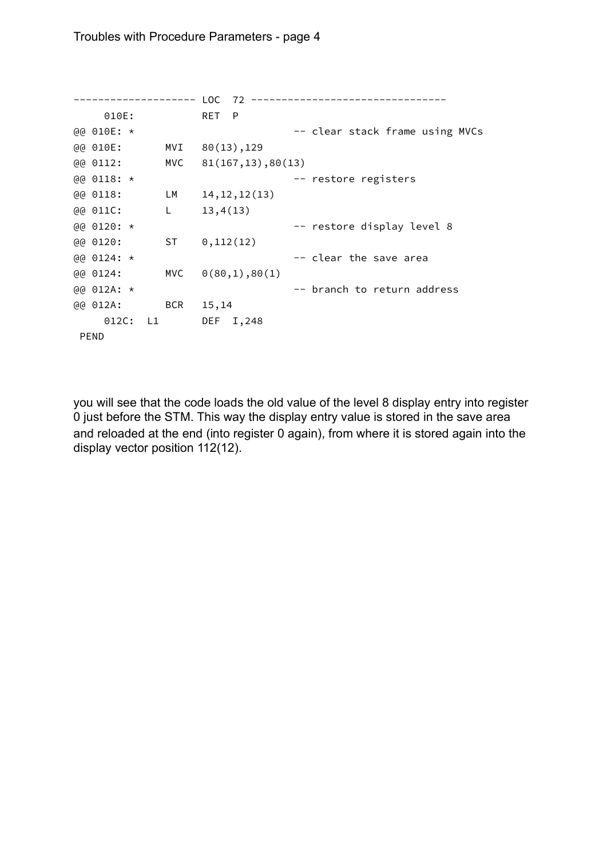-------------------- LOC 72 -------------------------------- 010E: RET P @@ 010E: \*  $\qquad \qquad -- \text{ clear stack frame using MVCs}$ @@ 010E: MVI 80(13),129 @@ 0112: MVC 81(167,13),80(13) @@ 0118: \* -- restore registers @@ 0118: LM 14,12,12(13) @@ 011C: L 13,4(13) @@ 0120: \* -- restore display level 8 @@ 0120: ST 0,112(12)  $@@0124:*\qquad -- clear the save area$ @@ 0124: MVC 0(80,1),80(1) @@ 012A: \* -- branch to return address @@ 012A: BCR 15,14 012C: L1 DEF I,248 PEND

you will see that the code loads the old value of the level 8 display entry into register 0 just before the STM. This way the display entry value is stored in the save area and reloaded at the end (into register 0 again), from where it is stored again into the display vector position 112(12).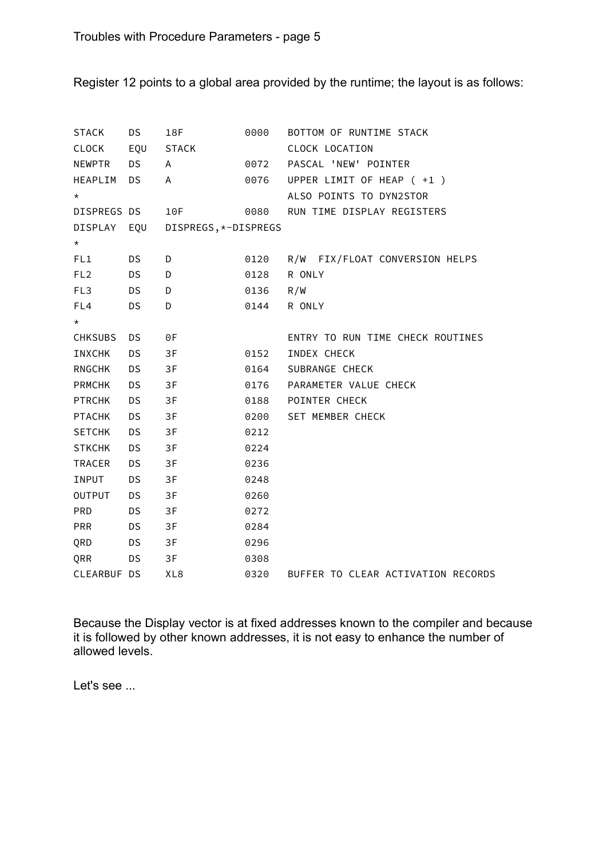Register 12 points to a global area provided by the runtime; the layout is as follows:

| <b>STACK</b>    | DS        | 18F                  | 0000 | BOTTOM OF RUNTIME STACK            |
|-----------------|-----------|----------------------|------|------------------------------------|
| CLOCK           | EQU       | STACK                |      | CLOCK LOCATION                     |
| <b>NEWPTR</b>   | <b>DS</b> | Α                    | 0072 | PASCAL 'NEW' POINTER               |
| HEAPLIM         | <b>DS</b> | A                    | 0076 | UPPER LIMIT OF HEAP ( +1 )         |
| $^\star$        |           |                      |      | ALSO POINTS TO DYN2STOR            |
| DISPREGS DS     |           | 10F                  | 0080 | RUN TIME DISPLAY REGISTERS         |
| DISPLAY EQU     |           | DISPREGS, *-DISPREGS |      |                                    |
| $\star$         |           |                      |      |                                    |
| FL1             | <b>DS</b> | D                    | 0120 | R/W FIX/FLOAT CONVERSION HELPS     |
| FL <sub>2</sub> | <b>DS</b> | D                    | 0128 | R ONLY                             |
| FL3             | <b>DS</b> | D                    | 0136 | R/W                                |
| FL4             | <b>DS</b> | D                    | 0144 | R ONLY                             |
| $\star$         |           |                      |      |                                    |
| <b>CHKSUBS</b>  | <b>DS</b> | ΘF                   |      | ENTRY TO RUN TIME CHECK ROUTINES   |
| INXCHK          | <b>DS</b> | 3F                   | 0152 | INDEX CHECK                        |
| <b>RNGCHK</b>   | <b>DS</b> | 3F                   | 0164 | SUBRANGE CHECK                     |
| <b>PRMCHK</b>   | <b>DS</b> | 3F                   | 0176 | PARAMETER VALUE CHECK              |
| <b>PTRCHK</b>   | <b>DS</b> | 3F                   | 0188 | POINTER CHECK                      |
| <b>PTACHK</b>   | <b>DS</b> | 3F                   | 0200 | SET MEMBER CHECK                   |
| <b>SETCHK</b>   | <b>DS</b> | 3F                   | 0212 |                                    |
| <b>STKCHK</b>   | <b>DS</b> | 3F                   | 0224 |                                    |
| <b>TRACER</b>   | <b>DS</b> | 3F                   | 0236 |                                    |
| INPUT           | <b>DS</b> | 3F                   | 0248 |                                    |
| <b>OUTPUT</b>   | <b>DS</b> | 3F                   | 0260 |                                    |
| <b>PRD</b>      | <b>DS</b> | 3F                   | 0272 |                                    |
| <b>PRR</b>      | <b>DS</b> | 3F                   | 0284 |                                    |
| QRD             | <b>DS</b> | 3F                   | 0296 |                                    |
| QRR             | <b>DS</b> | 3F                   | 0308 |                                    |
| CLEARBUF DS     |           | XL <sub>8</sub>      | 0320 | BUFFER TO CLEAR ACTIVATION RECORDS |

Because the Display vector is at fixed addresses known to the compiler and because it is followed by other known addresses, it is not easy to enhance the number of allowed levels.

Let's see ...